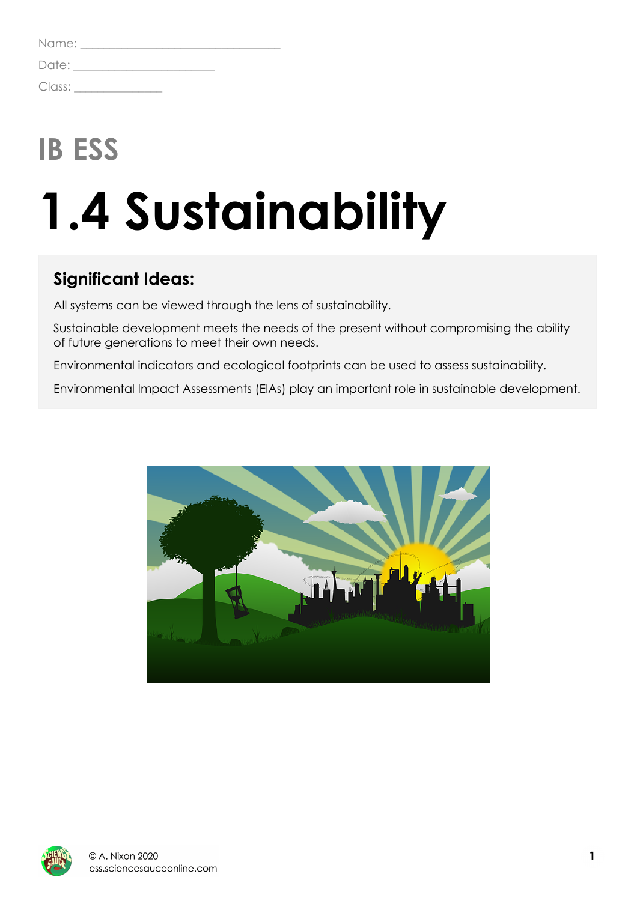| Name:  |  |
|--------|--|
| Date:  |  |
| Class: |  |

## **IB ESS**

## **1.4 Sustainability**

## **Significant Ideas:**

All systems can be viewed through the lens of sustainability.

Sustainable development meets the needs of the present without compromising the ability of future generations to meet their own needs.

Environmental indicators and ecological footprints can be used to assess sustainability.

Environmental Impact Assessments (EIAs) play an important role in sustainable development.



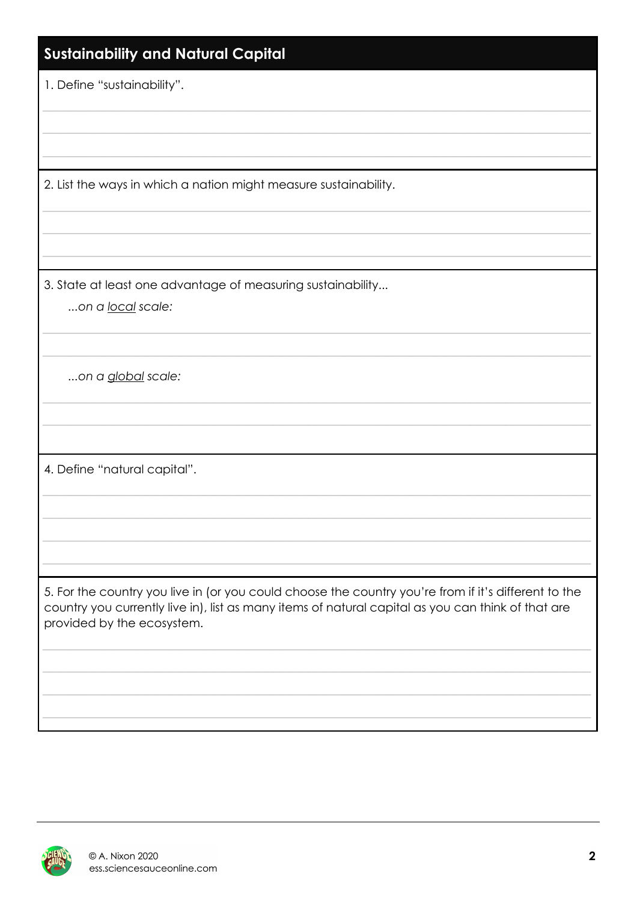| <b>Sustainability and Natural Capital</b>                                                                                                                                                                                                |
|------------------------------------------------------------------------------------------------------------------------------------------------------------------------------------------------------------------------------------------|
| 1. Define "sustainability".                                                                                                                                                                                                              |
|                                                                                                                                                                                                                                          |
|                                                                                                                                                                                                                                          |
| 2. List the ways in which a nation might measure sustainability.                                                                                                                                                                         |
|                                                                                                                                                                                                                                          |
|                                                                                                                                                                                                                                          |
| 3. State at least one advantage of measuring sustainability                                                                                                                                                                              |
| on a local scale:                                                                                                                                                                                                                        |
|                                                                                                                                                                                                                                          |
| on a global scale:                                                                                                                                                                                                                       |
|                                                                                                                                                                                                                                          |
|                                                                                                                                                                                                                                          |
| 4. Define "natural capital".                                                                                                                                                                                                             |
|                                                                                                                                                                                                                                          |
|                                                                                                                                                                                                                                          |
|                                                                                                                                                                                                                                          |
| 5. For the country you live in (or you could choose the country you're from if it's different to the<br>country you currently live in), list as many items of natural capital as you can think of that are<br>provided by the ecosystem. |
|                                                                                                                                                                                                                                          |
|                                                                                                                                                                                                                                          |
|                                                                                                                                                                                                                                          |

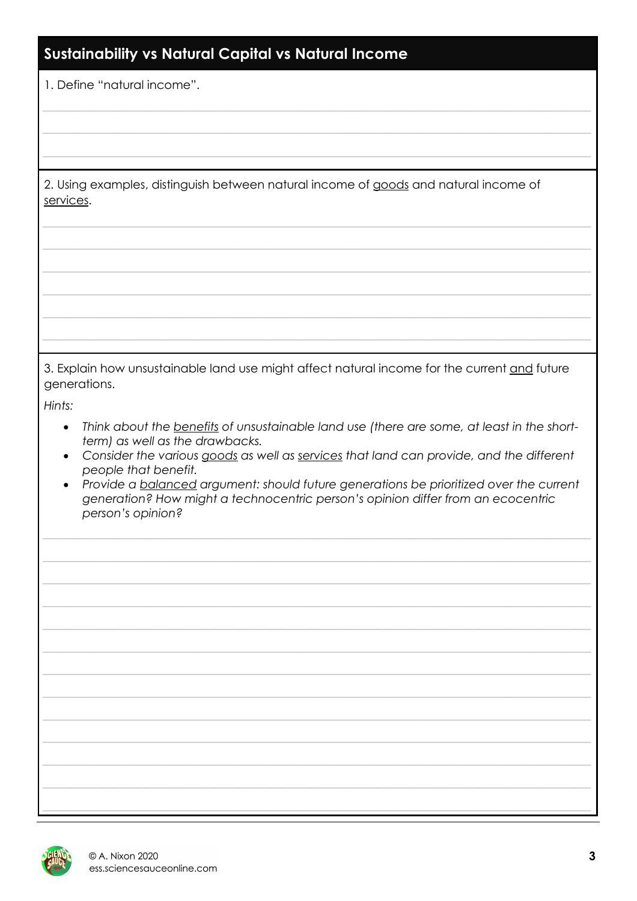| <b>Sustainability vs Natural Capital vs Natural Income</b> |  |
|------------------------------------------------------------|--|
| 1. Define "natural income".                                |  |

2. Using examples, distinguish between natural income of goods and natural income of services.

3. Explain how unsustainable land use might affect natural income for the current and future generations.

Hints:

- Think about the benefits of unsustainable land use (there are some, at least in the shortterm) as well as the drawbacks.
- Consider the various goods as well as services that land can provide, and the different people that benefit.
- Provide a balanced argument: should future generations be prioritized over the current generation? How might a technocentric person's opinion differ from an ecocentric person's opinion?

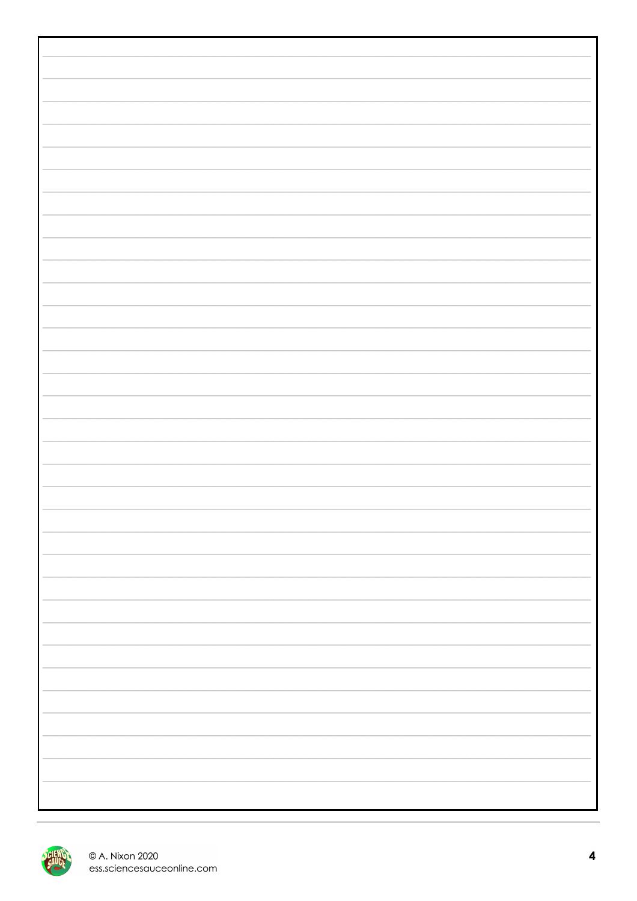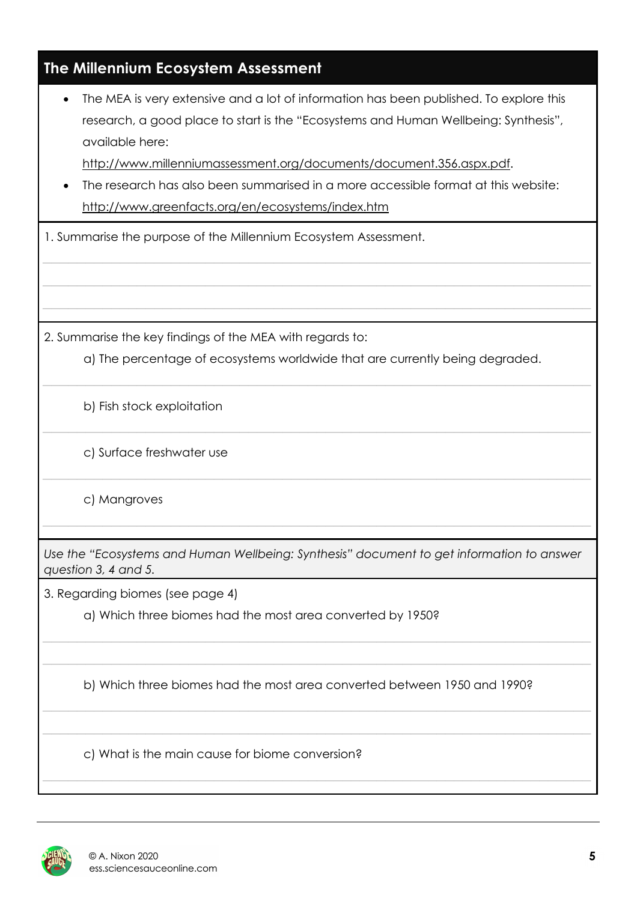| The Millennium Ecosystem Assessment                                                                                                                                                              |  |  |  |
|--------------------------------------------------------------------------------------------------------------------------------------------------------------------------------------------------|--|--|--|
| The MEA is very extensive and a lot of information has been published. To explore this<br>research, a good place to start is the "Ecosystems and Human Wellbeing: Synthesis",<br>available here: |  |  |  |
| http://www.millenniumassessment.org/documents/document.356.aspx.pdf.                                                                                                                             |  |  |  |
| The research has also been summarised in a more accessible format at this website:                                                                                                               |  |  |  |
| http://www.greenfacts.org/en/ecosystems/index.htm                                                                                                                                                |  |  |  |
| 1. Summarise the purpose of the Millennium Ecosystem Assessment.                                                                                                                                 |  |  |  |
|                                                                                                                                                                                                  |  |  |  |
| 2. Summarise the key findings of the MEA with regards to:                                                                                                                                        |  |  |  |
| a) The percentage of ecosystems worldwide that are currently being degraded.                                                                                                                     |  |  |  |
| b) Fish stock exploitation                                                                                                                                                                       |  |  |  |
| c) Surface freshwater use                                                                                                                                                                        |  |  |  |
| c) Mangroves                                                                                                                                                                                     |  |  |  |
| Use the "Ecosystems and Human Wellbeing: Synthesis" document to get information to answer<br>question 3, 4 and 5.                                                                                |  |  |  |
| 3. Regarding biomes (see page 4)                                                                                                                                                                 |  |  |  |
| a) Which three biomes had the most area converted by 1950?                                                                                                                                       |  |  |  |
| b) Which three biomes had the most area converted between 1950 and 1990?                                                                                                                         |  |  |  |
| c) What is the main cause for biome conversion?                                                                                                                                                  |  |  |  |

 $\_$  , and the contribution of the contribution of  $\mathcal{L}_\mathcal{A}$  , and the contribution of  $\mathcal{L}_\mathcal{A}$ 

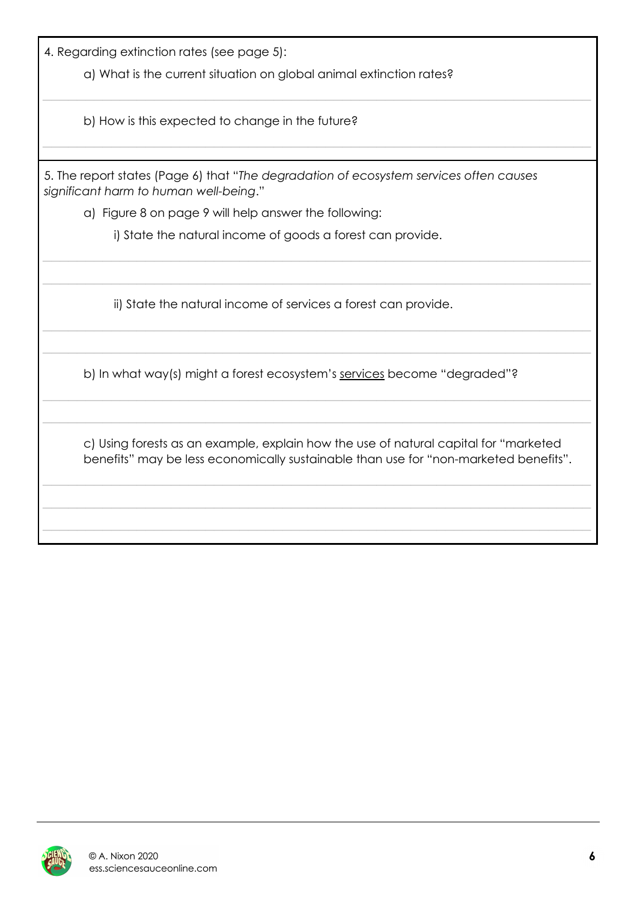4. Regarding extinction rates (see page 5):

a) What is the current situation on global animal extinction rates?

b) How is this expected to change in the future?

5. The report states (Page 6) that "*The degradation of ecosystem services often causes significant harm to human well-being*."

 $\_$  , and the contribution of the contribution of  $\mathcal{L}_\mathcal{A}$  , and the contribution of  $\mathcal{L}_\mathcal{A}$ 

 $\_$  , and the contribution of the contribution of  $\mathcal{L}_\mathcal{A}$  , and the contribution of  $\mathcal{L}_\mathcal{A}$ 

 $\_$  , and the contribution of the contribution of  $\mathcal{L}_\mathcal{A}$  , and the contribution of  $\mathcal{L}_\mathcal{A}$ 

 $\_$  , and the contribution of the contribution of  $\mathcal{L}_\mathcal{A}$  , and the contribution of  $\mathcal{L}_\mathcal{A}$ 

 $\_$  , and the contribution of the contribution of  $\mathcal{L}_\mathcal{A}$  , and the contribution of  $\mathcal{L}_\mathcal{A}$ 

 $\_$  , and the contribution of the contribution of  $\mathcal{L}_\mathcal{A}$  , and the contribution of  $\mathcal{L}_\mathcal{A}$ 

 $\_$  , and the contribution of the contribution of  $\mathcal{L}_\mathcal{A}$  , and the contribution of  $\mathcal{L}_\mathcal{A}$ 

 $\_$  , and the contribution of the contribution of  $\mathcal{L}_\mathcal{A}$  , and the contribution of  $\mathcal{L}_\mathcal{A}$ 

 $\_$  , and the contribution of the contribution of  $\mathcal{L}_\mathcal{A}$  , and the contribution of  $\mathcal{L}_\mathcal{A}$ 

 $\_$  , and the contribution of the contribution of  $\mathcal{L}_\mathcal{A}$  , and the contribution of  $\mathcal{L}_\mathcal{A}$ 

 $\_$  , and the contribution of the contribution of  $\mathcal{L}_\mathcal{A}$  , and the contribution of  $\mathcal{L}_\mathcal{A}$ 

a) Figure 8 on page 9 will help answer the following:

i) State the natural income of goods a forest can provide.

ii) State the natural income of services a forest can provide.

b) In what way(s) might a forest ecosystem's services become "degraded"?

c) Using forests as an example, explain how the use of natural capital for "marketed benefits" may be less economically sustainable than use for "non-marketed benefits".

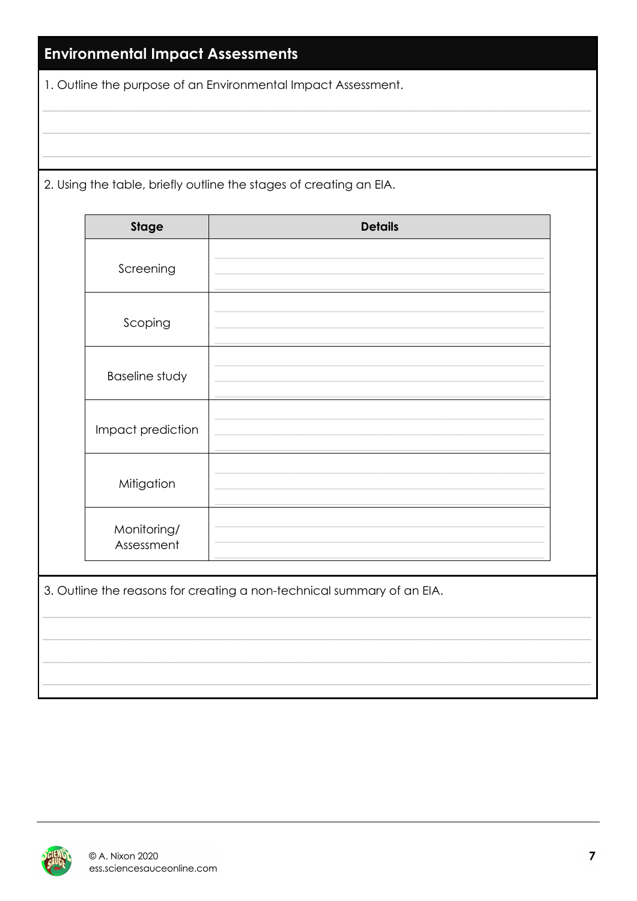|                           | 2. Using the table, briefly outline the stages of creating an EIA. |
|---------------------------|--------------------------------------------------------------------|
| <b>Stage</b>              | <b>Details</b>                                                     |
| Screening                 |                                                                    |
| Scoping                   |                                                                    |
| <b>Baseline study</b>     |                                                                    |
| Impact prediction         |                                                                    |
| Mitigation                |                                                                    |
| Monitoring/<br>Assessment |                                                                    |

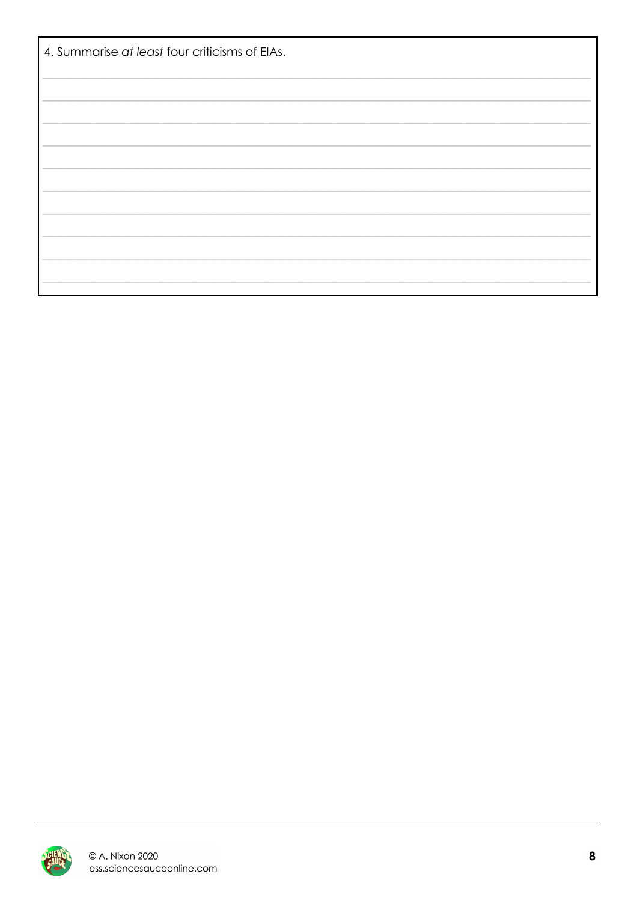| 4. Summarise at least four criticisms of EIAs. |  |  |
|------------------------------------------------|--|--|
|                                                |  |  |
|                                                |  |  |
|                                                |  |  |
|                                                |  |  |
|                                                |  |  |
|                                                |  |  |
|                                                |  |  |

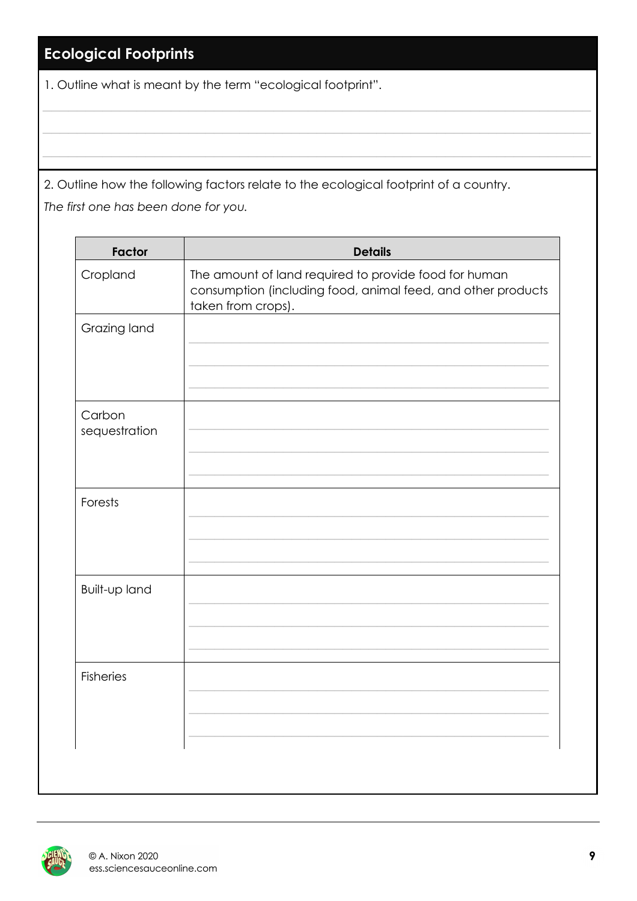## **Ecological Footprints**

1. Outline what is meant by the term "ecological footprint".

2. Outline how the following factors relate to the ecological footprint of a country.

The first one has been done for you.

| <b>Factor</b>           | <b>Details</b>                                                                                                                              |
|-------------------------|---------------------------------------------------------------------------------------------------------------------------------------------|
| Cropland                | The amount of land required to provide food for human<br>consumption (including food, animal feed, and other products<br>taken from crops). |
| Grazing land            |                                                                                                                                             |
| Carbon<br>sequestration |                                                                                                                                             |
| Forests                 |                                                                                                                                             |
| <b>Built-up land</b>    |                                                                                                                                             |
| <b>Fisheries</b>        |                                                                                                                                             |

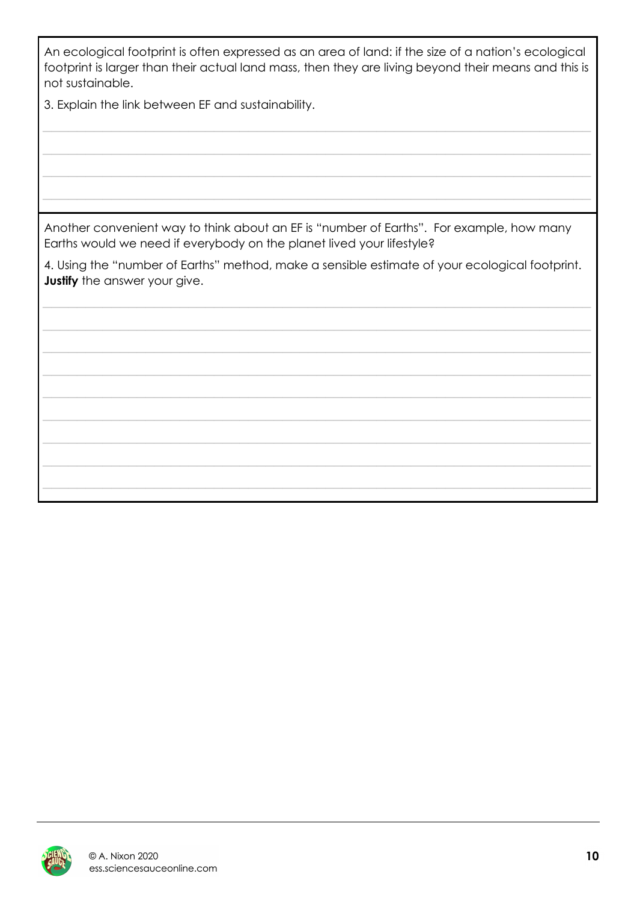An ecological footprint is often expressed as an area of land: if the size of a nation's ecological footprint is larger than their actual land mass, then they are living beyond their means and this is not sustainable.

 $\_$  , and the contribution of the contribution of  $\mathcal{L}_\mathcal{A}$  , and the contribution of  $\mathcal{L}_\mathcal{A}$ 

 $\_$  , and the contribution of the contribution of  $\mathcal{L}_\mathcal{A}$  , and the contribution of  $\mathcal{L}_\mathcal{A}$ 

 $\_$  , and the contribution of the contribution of  $\mathcal{L}_\mathcal{A}$  , and the contribution of  $\mathcal{L}_\mathcal{A}$ 

 $\_$  , and the contribution of the contribution of  $\mathcal{L}_\mathcal{A}$  , and the contribution of  $\mathcal{L}_\mathcal{A}$ 

3. Explain the link between EF and sustainability.

Another convenient way to think about an EF is "number of Earths". For example, how many Earths would we need if everybody on the planet lived your lifestyle?

4. Using the "number of Earths" method, make a sensible estimate of your ecological footprint. **Justify** the answer your give.

 $\_$  , and the contribution of the contribution of  $\mathcal{L}_\mathcal{A}$  , and the contribution of  $\mathcal{L}_\mathcal{A}$ 

 $\_$  , and the contribution of the contribution of  $\mathcal{L}_\mathcal{A}$  , and the contribution of  $\mathcal{L}_\mathcal{A}$ 

 $\_$  , and the contribution of the contribution of  $\mathcal{L}_\mathcal{A}$  , and the contribution of  $\mathcal{L}_\mathcal{A}$ 

 $\_$  , and the contribution of the contribution of  $\mathcal{L}_\mathcal{A}$  , and the contribution of  $\mathcal{L}_\mathcal{A}$ 

 $\_$  , and the contribution of the contribution of  $\mathcal{L}_\mathcal{A}$  , and the contribution of  $\mathcal{L}_\mathcal{A}$ 

 $\_$  , and the contribution of the contribution of  $\mathcal{L}_\mathcal{A}$  , and the contribution of  $\mathcal{L}_\mathcal{A}$ 

 $\_$  , and the contribution of the contribution of  $\mathcal{L}_\mathcal{A}$  , and the contribution of  $\mathcal{L}_\mathcal{A}$ 

 $\_$  , and the contribution of the contribution of  $\mathcal{L}_\mathcal{A}$  , and the contribution of  $\mathcal{L}_\mathcal{A}$ 

 $\_$  , and the contribution of the contribution of  $\mathcal{L}_\mathcal{A}$  , and the contribution of  $\mathcal{L}_\mathcal{A}$